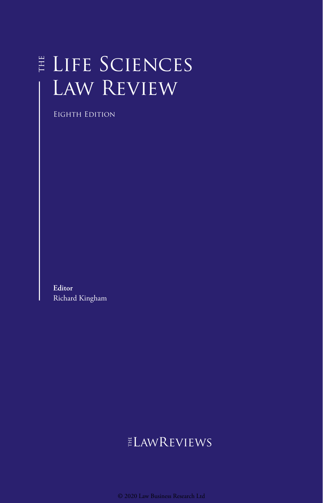# E LIFE SCIENCES Law Review

Eighth Edition

**Editor** Richard Kingham

# $E$ LAWREVIEWS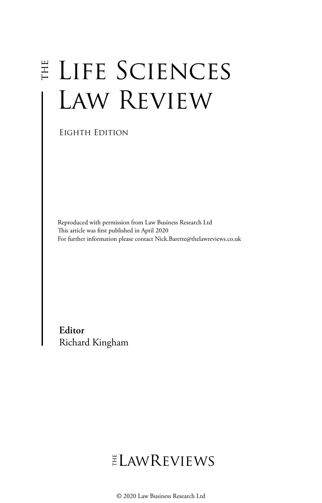# E LIFE SCIENCES LAW REVIEW

Eighth Edition

Reproduced with permission from Law Business Research Ltd This article was first published in April 2020 For further information please contact Nick.Barette@thelawreviews.co.uk

**Editor** Richard Kingham

# ELAWREVIEWS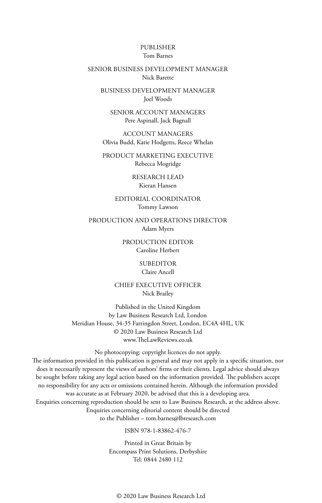#### PUBLISHER Tom Barnes

#### SENIOR BUSINESS DEVELOPMENT MANAGER Nick Barette

BUSINESS DEVELOPMENT MANAGER Joel Woods

SENIOR ACCOUNT MANAGERS Pere Aspinall, Jack Bagnall

ACCOUNT MANAGERS Olivia Budd, Katie Hodgetts, Reece Whelan

PRODUCT MARKETING EXECUTIVE Rebecca Mogridge

> RESEARCH LEAD Kieran Hansen

EDITORIAL COORDINATOR Tommy Lawson

PRODUCTION AND OPERATIONS DIRECTOR Adam Myers

> PRODUCTION EDITOR Caroline Herbert

> > SUBEDITOR Claire Ancell

CHIEF EXECUTIVE OFFICER Nick Brailey

Published in the United Kingdom by Law Business Research Ltd, London Meridian House, 34-35 Farringdon Street, London, EC4A 4HL, UK © 2020 Law Business Research Ltd www.TheLawReviews.co.uk

No photocopying: copyright licences do not apply. The information provided in this publication is general and may not apply in a specific situation, nor does it necessarily represent the views of authors' firms or their clients. Legal advice should always be sought before taking any legal action based on the information provided. The publishers accept no responsibility for any acts or omissions contained herein. Although the information provided was accurate as at February 2020, be advised that this is a developing area. Enquiries concerning reproduction should be sent to Law Business Research, at the address above. Enquiries concerning editorial content should be directed to the Publisher – tom.barnes@lbresearch.com

ISBN 978-1-83862-476-7

Printed in Great Britain by Encompass Print Solutions, Derbyshire Tel: 0844 2480 112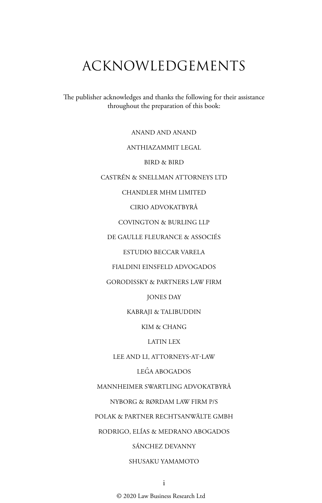# ACKNOWLEDGEMENTS

The publisher acknowledges and thanks the following for their assistance throughout the preparation of this book:

ANAND AND ANAND

#### ANTHIAZAMMIT LEGAL

BIRD & BIRD

CASTRÉN & SNELLMAN ATTORNEYS LTD

#### CHANDLER MHM LIMITED

CIRIO ADVOKATBYRÅ

COVINGTON & BURLING LLP

DE GAULLE FLEURANCE & ASSOCIÉS

ESTUDIO BECCAR VARELA

FIALDINI EINSFELD ADVOGADOS

GORODISSKY & PARTNERS LAW FIRM

JONES DAY

KABRAJI & TALIBUDDIN

KIM & CHANG

LATIN LEX

LEE AND LI, ATTORNEYS-AT-LAW

LEGˆA ABOGADOS

MANNHEIMER SWARTLING ADVOKATBYRÅ

NYBORG & RØRDAM LAW FIRM P/S

POLAK & PARTNER RECHTSANWÄLTE GMBH

RODRIGO, ELÍAS & MEDRANO ABOGADOS

SÁNCHEZ DEVANNY

#### SHUSAKU YAMAMOTO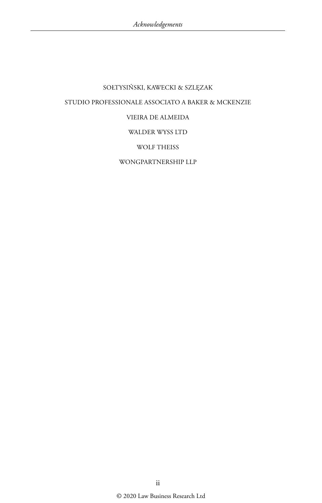## SOŁTYSIŃSKI, KAWECKI & SZLĘZAK STUDIO PROFESSIONALE ASSOCIATO A BAKER & MCKENZIE VIEIRA DE ALMEIDA WALDER WYSS LTD WOLF THEISS WONGPARTNERSHIP LLP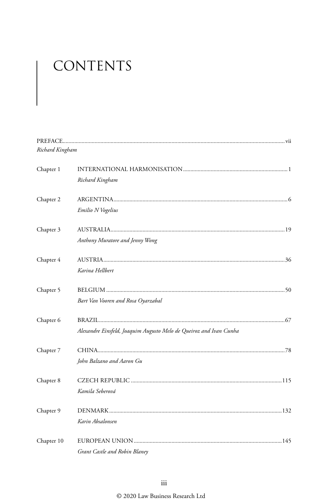# CONTENTS

| Richard Kingham |                                                                    |  |
|-----------------|--------------------------------------------------------------------|--|
| Chapter 1       |                                                                    |  |
|                 | Richard Kingham                                                    |  |
| Chapter 2       |                                                                    |  |
|                 | Emilio N Vogelius                                                  |  |
| Chapter 3       |                                                                    |  |
|                 | Anthony Muratore and Jenny Wong                                    |  |
| Chapter 4       |                                                                    |  |
|                 | Karina Hellbert                                                    |  |
| Chapter 5       |                                                                    |  |
|                 | Bart Van Vooren and Rosa Oyarzabal                                 |  |
| Chapter 6       |                                                                    |  |
|                 | Alexandre Einsfeld, Joaquim Augusto Melo de Queiroz and Ivan Cunha |  |
| Chapter 7       |                                                                    |  |
|                 | John Balzano and Aaron Gu                                          |  |
| Chapter 8       |                                                                    |  |
|                 | Kamila Seberová                                                    |  |
| Chapter 9       |                                                                    |  |
|                 | Karin Absalonsen                                                   |  |
| Chapter 10      |                                                                    |  |
|                 | Grant Castle and Robin Blaney                                      |  |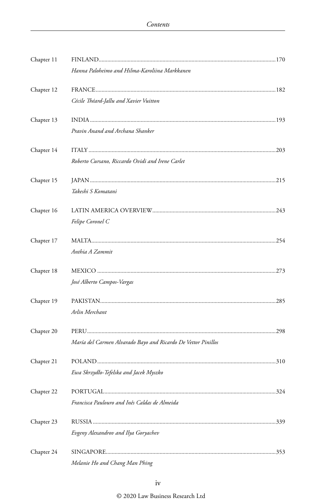| Chapter 11 |                                                               |  |
|------------|---------------------------------------------------------------|--|
|            | Hanna Paloheimo and Hilma-Karoliina Markkanen                 |  |
| Chapter 12 |                                                               |  |
|            | Cécile Théard-Jallu and Xavier Vuitton                        |  |
| Chapter 13 |                                                               |  |
|            | Pravin Anand and Archana Shanker                              |  |
| Chapter 14 |                                                               |  |
|            | Roberto Cursano, Riccardo Ovidi and Irene Carlet              |  |
| Chapter 15 |                                                               |  |
|            | Takeshi S Komatani                                            |  |
| Chapter 16 |                                                               |  |
|            | Felipe Coronel C                                              |  |
| Chapter 17 |                                                               |  |
|            | Anthia A Zammit                                               |  |
| Chapter 18 |                                                               |  |
|            | José Alberto Campos-Vargas                                    |  |
| Chapter 19 |                                                               |  |
|            | Arlin Merchant                                                |  |
| Chapter 20 |                                                               |  |
|            | María del Carmen Alvarado Bayo and Ricardo De Vettor Pinillos |  |
| Chapter 21 |                                                               |  |
|            | Ewa Skrzydło-Tefelska and Jacek Myszko                        |  |
| Chapter 22 |                                                               |  |
|            | Francisca Paulouro and Inês Caldas de Almeida                 |  |
| Chapter 23 |                                                               |  |
|            | Evgeny Alexandrov and Ilya Goryachev                          |  |
| Chapter 24 |                                                               |  |
|            | Melanie Ho and Chang Man Phing                                |  |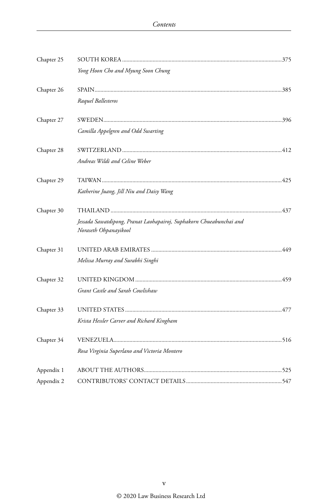| Chapter 25 |                                                                                              |  |
|------------|----------------------------------------------------------------------------------------------|--|
|            | Yong Hoon Cho and Myung Soon Chung                                                           |  |
| Chapter 26 |                                                                                              |  |
|            | Raquel Ballesteros                                                                           |  |
| Chapter 27 |                                                                                              |  |
|            | Camilla Appelgren and Odd Swarting                                                           |  |
| Chapter 28 |                                                                                              |  |
|            | Andreas Wildi and Celine Weber                                                               |  |
| Chapter 29 |                                                                                              |  |
|            | Katherine Juang, Jill Niu and Daisy Wang                                                     |  |
| Chapter 30 |                                                                                              |  |
|            | Jessada Sawatdipong, Pranat Laohapairoj, Suphakorn Chueabunchai and<br>Noraseth Ohpanayikool |  |
| Chapter 31 |                                                                                              |  |
|            | Melissa Murray and Surabhi Singhi                                                            |  |
| Chapter 32 |                                                                                              |  |
|            | Grant Castle and Sarah Cowlishaw                                                             |  |
| Chapter 33 |                                                                                              |  |
|            | Krista Hessler Carver and Richard Kingham                                                    |  |
| Chapter 34 |                                                                                              |  |
|            | Rosa Virginia Superlano and Victoria Montero                                                 |  |
| Appendix 1 |                                                                                              |  |
| Appendix 2 |                                                                                              |  |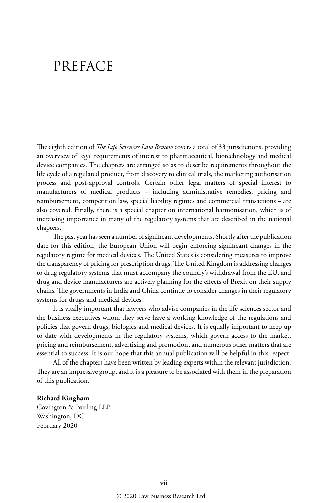# PREFACE

The eighth edition of *The Life Sciences Law Review* covers a total of 33 jurisdictions, providing an overview of legal requirements of interest to pharmaceutical, biotechnology and medical device companies. The chapters are arranged so as to describe requirements throughout the life cycle of a regulated product, from discovery to clinical trials, the marketing authorisation process and post-approval controls. Certain other legal matters of special interest to manufacturers of medical products – including administrative remedies, pricing and reimbursement, competition law, special liability regimes and commercial transactions – are also covered. Finally, there is a special chapter on international harmonisation, which is of increasing importance in many of the regulatory systems that are described in the national chapters.

The past year has seen a number of significant developments. Shortly after the publication date for this edition, the European Union will begin enforcing significant changes in the regulatory regime for medical devices. The United States is considering measures to improve the transparency of pricing for prescription drugs. The United Kingdom is addressing changes to drug regulatory systems that must accompany the country's withdrawal from the EU, and drug and device manufacturers are actively planning for the effects of Brexit on their supply chains. The governments in India and China continue to consider changes in their regulatory systems for drugs and medical devices.

It is vitally important that lawyers who advise companies in the life sciences sector and the business executives whom they serve have a working knowledge of the regulations and policies that govern drugs, biologics and medical devices. It is equally important to keep up to date with developments in the regulatory systems, which govern access to the market, pricing and reimbursement, advertising and promotion, and numerous other matters that are essential to success. It is our hope that this annual publication will be helpful in this respect.

All of the chapters have been written by leading experts within the relevant jurisdiction. They are an impressive group, and it is a pleasure to be associated with them in the preparation of this publication.

#### **Richard Kingham**

Covington & Burling LLP Washington, DC February 2020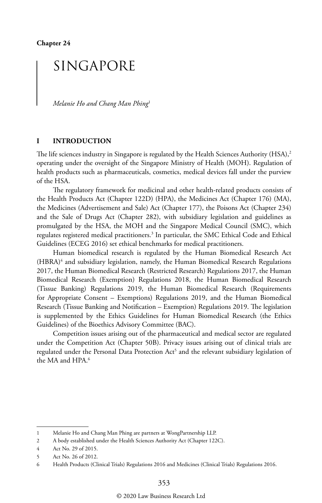## SINGAPORE

*Melanie Ho and Chang Man Phing*<sup>1</sup>

#### **I INTRODUCTION**

The life sciences industry in Singapore is regulated by the Health Sciences Authority (HSA),<sup>2</sup> operating under the oversight of the Singapore Ministry of Health (MOH). Regulation of health products such as pharmaceuticals, cosmetics, medical devices fall under the purview of the HSA.

The regulatory framework for medicinal and other health-related products consists of the Health Products Act (Chapter 122D) (HPA), the Medicines Act (Chapter 176) (MA), the Medicines (Advertisement and Sale) Act (Chapter 177), the Poisons Act (Chapter 234) and the Sale of Drugs Act (Chapter 282), with subsidiary legislation and guidelines as promulgated by the HSA, the MOH and the Singapore Medical Council (SMC), which regulates registered medical practitioners.3 In particular, the SMC Ethical Code and Ethical Guidelines (ECEG 2016) set ethical benchmarks for medical practitioners.

Human biomedical research is regulated by the Human Biomedical Research Act (HBRA)<sup>4</sup> and subsidiary legislation, namely, the Human Biomedical Research Regulations 2017, the Human Biomedical Research (Restricted Research) Regulations 2017, the Human Biomedical Research (Exemption) Regulations 2018, the Human Biomedical Research (Tissue Banking) Regulations 2019, the Human Biomedical Research (Requirements for Appropriate Consent – Exemptions) Regulations 2019, and the Human Biomedical Research (Tissue Banking and Notification – Exemption) Regulations 2019. The legislation is supplemented by the Ethics Guidelines for Human Biomedical Research (the Ethics Guidelines) of the Bioethics Advisory Committee (BAC).

Competition issues arising out of the pharmaceutical and medical sector are regulated under the Competition Act (Chapter 50B). Privacy issues arising out of clinical trials are regulated under the Personal Data Protection Act<sup>5</sup> and the relevant subsidiary legislation of the MA and HPA.6

<sup>1</sup> Melanie Ho and Chang Man Phing are partners at WongPartnership LLP.

<sup>2</sup> A body established under the Health Sciences Authority Act (Chapter 122C).

<sup>4</sup> Act No. 29 of 2015.

<sup>5</sup> Act No. 26 of 2012.

<sup>6</sup> Health Products (Clinical Trials) Regulations 2016 and Medicines (Clinical Trials) Regulations 2016.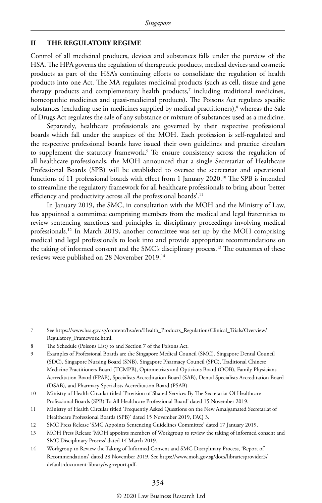#### **II THE REGULATORY REGIME**

Control of all medicinal products, devices and substances falls under the purview of the HSA. The HPA governs the regulation of therapeutic products, medical devices and cosmetic products as part of the HSA's continuing efforts to consolidate the regulation of health products into one Act. The MA regulates medicinal products (such as cell, tissue and gene therapy products and complementary health products, $\frac{7}{1}$  including traditional medicines, homeopathic medicines and quasi-medicinal products). The Poisons Act regulates specific substances (excluding use in medicines supplied by medical practitioners), $^8$  whereas the Sale of Drugs Act regulates the sale of any substance or mixture of substances used as a medicine.

Separately, healthcare professionals are governed by their respective professional boards which fall under the auspices of the MOH. Each profession is self-regulated and the respective professional boards have issued their own guidelines and practice circulars to supplement the statutory framework.9 To ensure consistency across the regulation of all healthcare professionals, the MOH announced that a single Secretariat of Healthcare Professional Boards (SPB) will be established to oversee the secretariat and operational functions of 11 professional boards with effect from 1 January 2020.10 The SPB is intended to streamline the regulatory framework for all healthcare professionals to bring about 'better efficiency and productivity across all the professional boards'.<sup>11</sup>

In January 2019, the SMC, in consultation with the MOH and the Ministry of Law, has appointed a committee comprising members from the medical and legal fraternities to review sentencing sanctions and principles in disciplinary proceedings involving medical professionals.12 In March 2019, another committee was set up by the MOH comprising medical and legal professionals to look into and provide appropriate recommendations on the taking of informed consent and the SMC's disciplinary process.13 The outcomes of these reviews were published on 28 November 2019.14

<sup>7</sup> See https://www.hsa.gov.sg/content/hsa/en/Health\_Products\_Regulation/Clinical\_Trials/Overview/ Regulatory\_Framework.html.

<sup>8</sup> The Schedule (Poisons List) to and Section 7 of the Poisons Act.

<sup>9</sup> Examples of Professional Boards are the Singapore Medical Council (SMC), Singapore Dental Council (SDC), Singapore Nursing Board (SNB), Singapore Pharmacy Council (SPC), Traditional Chinese Medicine Practitioners Board (TCMPB), Optometrists and Opticians Board (OOB), Family Physicians Accreditation Board (FPAB), Specialists Accreditation Board (SAB), Dental Specialists Accreditation Board (DSAB), and Pharmacy Specialists Accreditation Board (PSAB).

<sup>10</sup> Ministry of Health Circular titled 'Provision of Shared Services By The Secretariat Of Healthcare Professional Boards (SPB) To All Healthcare Professional Board' dated 15 November 2019.

<sup>11</sup> Ministry of Health Circular titled 'Frequently Asked Questions on the New Amalgamated Secretariat of Healthcare Professional Boards (SPB)' dated 15 November 2019, FAQ 3.

<sup>12</sup> SMC Press Release 'SMC Appoints Sentencing Guidelines Committee' dated 17 January 2019.

<sup>13</sup> MOH Press Release 'MOH appoints members of Workgroup to review the taking of informed consent and SMC Disciplinary Process' dated 14 March 2019.

<sup>14</sup> Workgroup to Review the Taking of Informed Consent and SMC Disciplinary Process, 'Report of Recommendations' dated 28 November 2019. See https://www.moh.gov.sg/docs/librariesprovider5/ default-document-library/wg-report.pdf.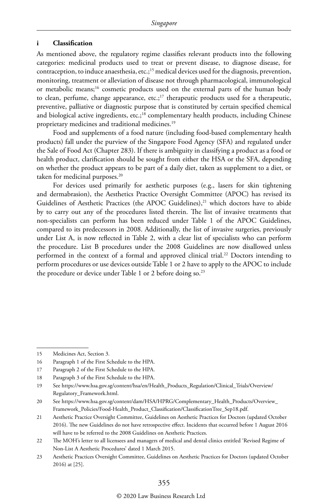#### **i Classification**

As mentioned above, the regulatory regime classifies relevant products into the following categories: medicinal products used to treat or prevent disease, to diagnose disease, for contraception, to induce anaesthesia, etc.;<sup>15</sup> medical devices used for the diagnosis, prevention, monitoring, treatment or alleviation of disease not through pharmacological, immunological or metabolic means;16 cosmetic products used on the external parts of the human body to clean, perfume, change appearance, etc.; $17$  therapeutic products used for a therapeutic, preventive, palliative or diagnostic purpose that is constituted by certain specified chemical and biological active ingredients, etc.;<sup>18</sup> complementary health products, including Chinese proprietary medicines and traditional medicines.19

Food and supplements of a food nature (including food-based complementary health products) fall under the purview of the Singapore Food Agency (SFA) and regulated under the Sale of Food Act (Chapter 283). If there is ambiguity in classifying a product as a food or health product, clarification should be sought from either the HSA or the SFA, depending on whether the product appears to be part of a daily diet, taken as supplement to a diet, or taken for medicinal purposes.<sup>20</sup>

For devices used primarily for aesthetic purposes (e.g., lasers for skin tightening and dermabrasion), the Aesthetics Practice Oversight Committee (APOC) has revised its Guidelines of Aesthetic Practices (the APOC Guidelines), $^{21}$  which doctors have to abide by to carry out any of the procedures listed therein. The list of invasive treatments that non-specialists can perform has been reduced under Table 1 of the APOC Guidelines, compared to its predecessors in 2008. Additionally, the list of invasive surgeries, previously under List A, is now reflected in Table 2, with a clear list of specialists who can perform the procedure. List B procedures under the 2008 Guidelines are now disallowed unless performed in the context of a formal and approved clinical trial.22 Doctors intending to perform procedures or use devices outside Table 1 or 2 have to apply to the APOC to include the procedure or device under Table 1 or 2 before doing so.<sup>23</sup>

<sup>15</sup> Medicines Act, Section 3.

<sup>16</sup> Paragraph 1 of the First Schedule to the HPA.

<sup>17</sup> Paragraph 2 of the First Schedule to the HPA.

<sup>18</sup> Paragraph 3 of the First Schedule to the HPA.

<sup>19</sup> See https://www.hsa.gov.sg/content/hsa/en/Health\_Products\_Regulation/Clinical\_Trials/Overview/ Regulatory\_Framework.html.

<sup>20</sup> See https://www.hsa.gov.sg/content/dam/HSA/HPRG/Complementary\_Health\_Products/Overview\_ Framework\_Policies/Food-Health\_Product\_Classification/ClassificationTree\_Sep18.pdf.

<sup>21</sup> Aesthetic Practice Oversight Committee, Guidelines on Aesthetic Practices for Doctors (updated October 2016). The new Guidelines do not have retrospective effect. Incidents that occurred before 1 August 2016 will have to be referred to the 2008 Guidelines on Aesthetic Practices.

<sup>22</sup> The MOH's letter to all licensees and managers of medical and dental clinics entitled 'Revised Regime of Non-List A Aesthetic Procedures' dated 1 March 2015.

<sup>23</sup> Aesthetic Practices Oversight Committee, Guidelines on Aesthetic Practices for Doctors (updated October 2016) at [25].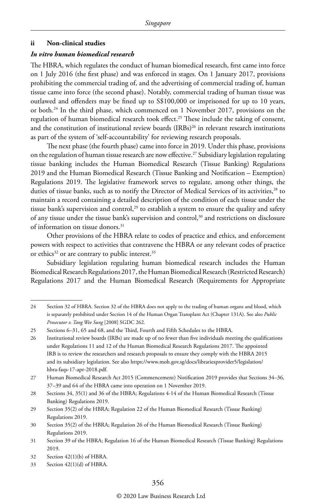#### **ii Non-clinical studies**

#### *In vitro human biomedical research*

The HBRA, which regulates the conduct of human biomedical research, first came into force on 1 July 2016 (the first phase) and was enforced in stages. On 1 January 2017, provisions prohibiting the commercial trading of, and the advertising of commercial trading of, human tissue came into force (the second phase). Notably, commercial trading of human tissue was outlawed and offenders may be fined up to S\$100,000 or imprisoned for up to 10 years, or both.24 In the third phase, which commenced on 1 November 2017, provisions on the regulation of human biomedical research took effect.<sup>25</sup> These include the taking of consent, and the constitution of institutional review boards  $(IRBs)^{26}$  in relevant research institutions as part of the system of 'self-accountability' for reviewing research proposals.

The next phase (the fourth phase) came into force in 2019. Under this phase, provisions on the regulation of human tissue research are now effective.<sup>27</sup> Subsidiary legislation regulating tissue banking includes the Human Biomedical Research (Tissue Banking) Regulations 2019 and the Human Biomedical Research (Tissue Banking and Notification – Exemption) Regulations 2019. The legislative framework serves to regulate, among other things, the duties of tissue banks, such as to notify the Director of Medical Services of its activities,<sup>28</sup> to maintain a record containing a detailed description of the condition of each tissue under the tissue bank's supervision and control,<sup>29</sup> to establish a system to ensure the quality and safety of any tissue under the tissue bank's supervision and control,<sup>30</sup> and restrictions on disclosure of information on tissue donors.31

Other provisions of the HBRA relate to codes of practice and ethics, and enforcement powers with respect to activities that contravene the HBRA or any relevant codes of practice or ethics<sup>32</sup> or are contrary to public interest.<sup>33</sup>

Subsidiary legislation regulating human biomedical research includes the Human Biomedical Research Regulations 2017, the Human Biomedical Research (Restricted Research) Regulations 2017 and the Human Biomedical Research (Requirements for Appropriate

<sup>24</sup> Section 32 of HBRA. Section 32 of the HBRA does not apply to the trading of human organs and blood, which is separately prohibited under Section 14 of the Human Organ Transplant Act (Chapter 131A). See also *Public Prosecutor v. Tang Wee Sung* [2008] SGDC 262.

<sup>25</sup> Sections 6–31, 65 and 68, and the Third, Fourth and Fifth Schedules to the HBRA.

<sup>26</sup> Institutional review boards (IRBs) are made up of no fewer than five individuals meeting the qualifications under Regulations 11 and 12 of the Human Biomedical Research Regulations 2017. The appointed IRB is to review the researchers and research proposals to ensure they comply with the HBRA 2015 and its subsidiary legislation. See also https://www.moh.gov.sg/docs/librariesprovider5/legislation/ hbra-faqs-17-apr-2018.pdf.

<sup>27</sup> Human Biomedical Research Act 2015 (Commencement) Notification 2019 provides that Sections 34–36, 37–39 and 64 of the HBRA came into operation on 1 November 2019.

<sup>28</sup> Sections 34, 35(1) and 36 of the HBRA; Regulations 4-14 of the Human Biomedical Research (Tissue Banking) Regulations 2019.

<sup>29</sup> Section 35(2) of the HBRA; Regulation 22 of the Human Biomedical Research (Tissue Banking) Regulations 2019.

<sup>30</sup> Section 35(2) of the HBRA; Regulation 26 of the Human Biomedical Research (Tissue Banking) Regulations 2019.

<sup>31</sup> Section 39 of the HBRA; Regulation 16 of the Human Biomedical Research (Tissue Banking) Regulations 2019.

<sup>32</sup> Section 42(1)(b) of HBRA.

<sup>33</sup> Section 42(1)(d) of HBRA.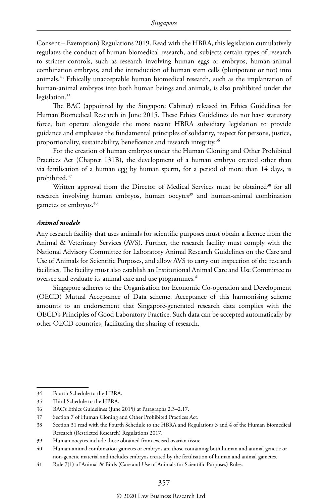Consent – Exemption) Regulations 2019. Read with the HBRA, this legislation cumulatively regulates the conduct of human biomedical research, and subjects certain types of research to stricter controls, such as research involving human eggs or embryos, human-animal combination embryos, and the introduction of human stem cells (pluripotent or not) into animals.34 Ethically unacceptable human biomedical research, such as the implantation of human-animal embryos into both human beings and animals, is also prohibited under the legislation.<sup>35</sup>

The BAC (appointed by the Singapore Cabinet) released its Ethics Guidelines for Human Biomedical Research in June 2015. These Ethics Guidelines do not have statutory force, but operate alongside the more recent HBRA subsidiary legislation to provide guidance and emphasise the fundamental principles of solidarity, respect for persons, justice, proportionality, sustainability, beneficence and research integrity.<sup>36</sup>

For the creation of human embryos under the Human Cloning and Other Prohibited Practices Act (Chapter 131B), the development of a human embryo created other than via fertilisation of a human egg by human sperm, for a period of more than 14 days, is prohibited.37

Written approval from the Director of Medical Services must be obtained<sup>38</sup> for all research involving human embryos, human oocytes<sup>39</sup> and human-animal combination gametes or embryos.<sup>40</sup>

#### *Animal models*

Any research facility that uses animals for scientific purposes must obtain a licence from the Animal & Veterinary Services (AVS). Further, the research facility must comply with the National Advisory Committee for Laboratory Animal Research Guidelines on the Care and Use of Animals for Scientific Purposes, and allow AVS to carry out inspection of the research facilities. The facility must also establish an Institutional Animal Care and Use Committee to oversee and evaluate its animal care and use programmes.<sup>41</sup>

Singapore adheres to the Organisation for Economic Co-operation and Development (OECD) Mutual Acceptance of Data scheme. Acceptance of this harmonising scheme amounts to an endorsement that Singapore-generated research data complies with the OECD's Principles of Good Laboratory Practice. Such data can be accepted automatically by other OECD countries, facilitating the sharing of research.

<sup>34</sup> Fourth Schedule to the HBRA.

<sup>35</sup> Third Schedule to the HBRA.

<sup>36</sup> BAC's Ethics Guidelines (June 2015) at Paragraphs 2.3–2.17.

<sup>37</sup> Section 7 of Human Cloning and Other Prohibited Practices Act.

<sup>38</sup> Section 31 read with the Fourth Schedule to the HBRA and Regulations 3 and 4 of the Human Biomedical Research (Restricted Research) Regulations 2017.

<sup>39</sup> Human oocytes include those obtained from excised ovarian tissue.

<sup>40</sup> Human-animal combination gametes or embryos are those containing both human and animal genetic or non-genetic material and includes embryos created by the fertilisation of human and animal gametes.

<sup>41</sup> Rule 7(1) of Animal & Birds (Care and Use of Animals for Scientific Purposes) Rules.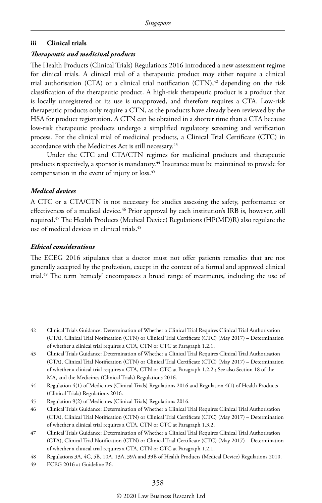#### **iii Clinical trials**

#### *Therapeutic and medicinal products*

The Health Products (Clinical Trials) Regulations 2016 introduced a new assessment regime for clinical trials. A clinical trial of a therapeutic product may either require a clinical trial authorisation (CTA) or a clinical trial notification (CTN), $42$  depending on the risk classification of the therapeutic product. A high-risk therapeutic product is a product that is locally unregistered or its use is unapproved, and therefore requires a CTA. Low-risk therapeutic products only require a CTN, as the products have already been reviewed by the HSA for product registration. A CTN can be obtained in a shorter time than a CTA because low-risk therapeutic products undergo a simplified regulatory screening and verification process. For the clinical trial of medicinal products, a Clinical Trial Certificate (CTC) in accordance with the Medicines Act is still necessary.<sup>43</sup>

Under the CTC and CTA/CTN regimes for medicinal products and therapeutic products respectively, a sponsor is mandatory.44 Insurance must be maintained to provide for compensation in the event of injury or loss.45

#### *Medical devices*

A CTC or a CTA/CTN is not necessary for studies assessing the safety, performance or effectiveness of a medical device.<sup>46</sup> Prior approval by each institution's IRB is, however, still required.47 The Health Products (Medical Device) Regulations (HP(MD)R) also regulate the use of medical devices in clinical trials.<sup>48</sup>

#### *Ethical considerations*

The ECEG 2016 stipulates that a doctor must not offer patients remedies that are not generally accepted by the profession, except in the context of a formal and approved clinical trial.<sup>49</sup> The term 'remedy' encompasses a broad range of treatments, including the use of

<sup>42</sup> Clinical Trials Guidance: Determination of Whether a Clinical Trial Requires Clinical Trial Authorisation (CTA), Clinical Trial Notification (CTN) or Clinical Trial Certificate (CTC) (May 2017) – Determination of whether a clinical trial requires a CTA, CTN or CTC at Paragraph 1.2.1.

<sup>43</sup> Clinical Trials Guidance: Determination of Whether a Clinical Trial Requires Clinical Trial Authorisation (CTA), Clinical Trial Notification (CTN) or Clinical Trial Certificate (CTC) (May 2017) – Determination of whether a clinical trial requires a CTA, CTN or CTC at Paragraph 1.2.2.; See also Section 18 of the MA, and the Medicines (Clinical Trials) Regulations 2016.

<sup>44</sup> Regulation 4(1) of Medicines (Clinical Trials) Regulations 2016 and Regulation 4(1) of Health Products (Clinical Trials) Regulations 2016.

<sup>45</sup> Regulation 9(2) of Medicines (Clinical Trials) Regulations 2016.

<sup>46</sup> Clinical Trials Guidance: Determination of Whether a Clinical Trial Requires Clinical Trial Authorisation (CTA), Clinical Trial Notification (CTN) or Clinical Trial Certificate (CTC) (May 2017) – Determination of whether a clinical trial requires a CTA, CTN or CTC at Paragraph 1.3.2.

<sup>47</sup> Clinical Trials Guidance: Determination of Whether a Clinical Trial Requires Clinical Trial Authorisation (CTA), Clinical Trial Notification (CTN) or Clinical Trial Certificate (CTC) (May 2017) – Determination of whether a clinical trial requires a CTA, CTN or CTC at Paragraph 1.2.1.

<sup>48</sup> Regulations 3A, 4C, 5B, 10A, 13A, 39A and 39B of Health Products (Medical Device) Regulations 2010.

<sup>49</sup> ECEG 2016 at Guideline B6.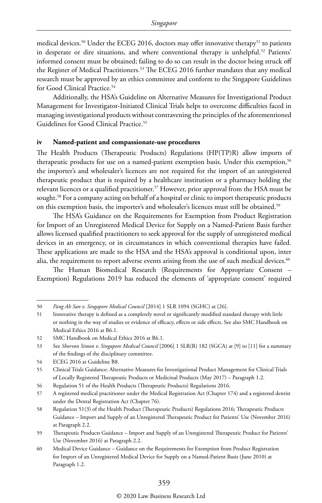medical devices.<sup>50</sup> Under the ECEG 2016, doctors may offer innovative therapy<sup>51</sup> to patients in desperate or dire situations, and where conventional therapy is unhelpful.<sup>52</sup> Patients' informed consent must be obtained; failing to do so can result in the doctor being struck off the Register of Medical Practitioners.<sup>53</sup> The ECEG 2016 further mandates that any medical research must be approved by an ethics committee and conform to the Singapore Guidelines for Good Clinical Practice.<sup>54</sup>

Additionally, the HSA's Guideline on Alternative Measures for Investigational Product Management for Investigator-Initiated Clinical Trials helps to overcome difficulties faced in managing investigational products without contravening the principles of the aforementioned Guidelines for Good Clinical Practice.<sup>55</sup>

#### **iv Named-patient and compassionate-use procedures**

The Health Products (Therapeutic Products) Regulations (HP(TP)R) allow imports of therapeutic products for use on a named-patient exemption basis. Under this exemption,<sup>56</sup> the importer's and wholesaler's licences are not required for the import of an unregistered therapeutic product that is required by a healthcare institution or a pharmacy holding the relevant licences or a qualified practitioner.<sup>57</sup> However, prior approval from the HSA must be sought.<sup>58</sup> For a company acting on behalf of a hospital or clinic to import therapeutic products on this exemption basis, the importer's and wholesaler's licences must still be obtained.<sup>59</sup>

The HSA's Guidance on the Requirements for Exemption from Product Registration for Import of an Unregistered Medical Device for Supply on a Named-Patient Basis further allows licensed qualified practitioners to seek approval for the supply of unregistered medical devices in an emergency, or in circumstances in which conventional therapies have failed. These applications are made to the HSA and the HSA's approval is conditional upon, inter alia, the requirement to report adverse events arising from the use of such medical devices.<sup>60</sup>

The Human Biomedical Research (Requirements for Appropriate Consent – Exemption) Regulations 2019 has reduced the elements of 'appropriate consent' required

<sup>50</sup> *Pang Ah San v. Singapore Medical Council* [2014] 1 SLR 1094 (SGHC) at [26].

<sup>51</sup> Innovative therapy is defined as a completely novel or significantly modified standard therapy with little or nothing in the way of studies or evidence of efficacy, effects or side effects. See also SMC Handbook on Medical Ethics 2016 at B6.1.

<sup>52</sup> SMC Handbook on Medical Ethics 2016 at B6.1.

<sup>53</sup> See *Shorvon Simon v. Singapore Medical Council* [2006] 1 SLR(R) 182 (SGCA) at [9] to [11] for a summary of the findings of the disciplinary committee.

<sup>54</sup> ECEG 2016 at Guideline B8.

<sup>55</sup> Clinical Trials Guidance: Alternative Measures for Investigational Product Management for Clinical Trials of Locally Registered Therapeutic Products or Medicinal Products (May 2017) – Paragraph 1.2.

<sup>56</sup> Regulation 51 of the Health Products (Therapeutic Products) Regulations 2016.

<sup>57</sup> A registered medical practitioner under the Medical Registration Act (Chapter 174) and a registered dentist under the Dental Registration Act (Chapter 76).

<sup>58</sup> Regulation 51(3) of the Health Product (Therapeutic Products) Regulations 2016; Therapeutic Products Guidance – Import and Supply of an Unregistered Therapeutic Product for Patients' Use (November 2016) at Paragraph 2.2.

<sup>59</sup> Therapeutic Products Guidance – Import and Supply of an Unregistered Therapeutic Product for Patients' Use (November 2016) at Paragraph 2.2.

<sup>60</sup> Medical Device Guidance – Guidance on the Requirements for Exemption from Product Registration for Import of an Unregistered Medical Device for Supply on a Named-Patient Basis (June 2010) at Paragraph 1.2.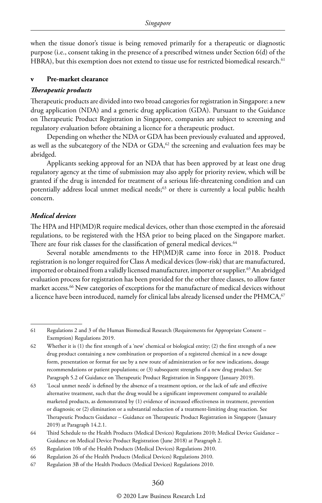when the tissue donor's tissue is being removed primarily for a therapeutic or diagnostic purpose (i.e., consent taking in the presence of a prescribed witness under Section 6(d) of the HBRA), but this exemption does not extend to tissue use for restricted biomedical research.<sup>61</sup>

#### **v Pre-market clearance**

#### *Therapeutic products*

Therapeutic products are divided into two broad categories for registration in Singapore: a new drug application (NDA) and a generic drug application (GDA). Pursuant to the Guidance on Therapeutic Product Registration in Singapore, companies are subject to screening and regulatory evaluation before obtaining a licence for a therapeutic product.

Depending on whether the NDA or GDA has been previously evaluated and approved, as well as the subcategory of the NDA or  $GDA$ ,<sup>62</sup> the screening and evaluation fees may be abridged.

Applicants seeking approval for an NDA that has been approved by at least one drug regulatory agency at the time of submission may also apply for priority review, which will be granted if the drug is intended for treatment of a serious life-threatening condition and can potentially address local unmet medical needs;<sup>63</sup> or there is currently a local public health concern.

#### *Medical devices*

The HPA and HP(MD)R require medical devices, other than those exempted in the aforesaid regulations, to be registered with the HSA prior to being placed on the Singapore market. There are four risk classes for the classification of general medical devices.<sup>64</sup>

Several notable amendments to the HP(MD)R came into force in 2018. Product registration is no longer required for Class A medical devices (low-risk) that are manufactured, imported or obtained from a validly licensed manufacturer, importer or supplier.<sup>65</sup> An abridged evaluation process for registration has been provided for the other three classes, to allow faster market access.66 New categories of exceptions for the manufacture of medical devices without a licence have been introduced, namely for clinical labs already licensed under the PHMCA,<sup>67</sup>

<sup>61</sup> Regulations 2 and 3 of the Human Biomedical Research (Requirements for Appropriate Consent – Exemption) Regulations 2019.

<sup>62</sup> Whether it is (1) the first strength of a 'new' chemical or biological entity; (2) the first strength of a new drug product containing a new combination or proportion of a registered chemical in a new dosage form, presentation or format for use by a new route of administration or for new indications, dosage recommendations or patient populations; or (3) subsequent strengths of a new drug product. See Paragraph 5.2 of Guidance on Therapeutic Product Registration in Singapore (January 2019).

<sup>63</sup> 'Local unmet needs' is defined by the absence of a treatment option, or the lack of safe and effective alternative treatment, such that the drug would be a significant improvement compared to available marketed products, as demonstrated by (1) evidence of increased effectiveness in treatment, prevention or diagnosis; or (2) elimination or a substantial reduction of a treatment-limiting drug reaction. See Therapeutic Products Guidance – Guidance on Therapeutic Product Registration in Singapore (January 2019) at Paragraph 14.2.1.

<sup>64</sup> Third Schedule to the Health Products (Medical Devices) Regulations 2010; Medical Device Guidance – Guidance on Medical Device Product Registration (June 2018) at Paragraph 2.

<sup>65</sup> Regulation 10b of the Health Products (Medical Devices) Regulations 2010.

<sup>66</sup> Regulation 26 of the Health Products (Medical Devices) Regulations 2010.

<sup>67</sup> Regulation 3B of the Health Products (Medical Devices) Regulations 2010.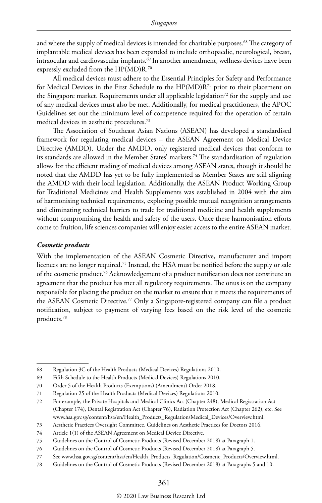and where the supply of medical devices is intended for charitable purposes.<sup>68</sup> The category of implantable medical devices has been expanded to include orthopaedic, neurological, breast, intraocular and cardiovascular implants.<sup>69</sup> In another amendment, wellness devices have been expressly excluded from the HP(MD)R.70

All medical devices must adhere to the Essential Principles for Safety and Performance for Medical Devices in the First Schedule to the HP(MD)R71 prior to their placement on the Singapore market. Requirements under all applicable legislation<sup>72</sup> for the supply and use of any medical devices must also be met. Additionally, for medical practitioners, the APOC Guidelines set out the minimum level of competence required for the operation of certain medical devices in aesthetic procedures.73

The Association of Southeast Asian Nations (ASEAN) has developed a standardised framework for regulating medical devices – the ASEAN Agreement on Medical Device Directive (AMDD). Under the AMDD, only registered medical devices that conform to its standards are allowed in the Member States' markets.<sup>74</sup> The standardisation of regulation allows for the efficient trading of medical devices among ASEAN states, though it should be noted that the AMDD has yet to be fully implemented as Member States are still aligning the AMDD with their local legislation. Additionally, the ASEAN Product Working Group for Traditional Medicines and Health Supplements was established in 2004 with the aim of harmonising technical requirements, exploring possible mutual recognition arrangements and eliminating technical barriers to trade for traditional medicine and health supplements without compromising the health and safety of the users. Once these harmonisation efforts come to fruition, life sciences companies will enjoy easier access to the entire ASEAN market.

#### *Cosmetic products*

With the implementation of the ASEAN Cosmetic Directive, manufacturer and import licences are no longer required.75 Instead, the HSA must be notified before the supply or sale of the cosmetic product.<sup>76</sup> Acknowledgement of a product notification does not constitute an agreement that the product has met all regulatory requirements. The onus is on the company responsible for placing the product on the market to ensure that it meets the requirements of the ASEAN Cosmetic Directive.77 Only a Singapore-registered company can file a product notification, subject to payment of varying fees based on the risk level of the cosmetic products.78

<sup>68</sup> Regulation 3C of the Health Products (Medical Devices) Regulations 2010.

<sup>69</sup> Fifth Schedule to the Health Products (Medical Devices) Regulations 2010.

<sup>70</sup> Order 5 of the Health Products (Exemptions) (Amendment) Order 2018.

<sup>71</sup> Regulation 25 of the Health Products (Medical Devices) Regulations 2010.

<sup>72</sup> For example, the Private Hospitals and Medical Clinics Act (Chapter 248), Medical Registration Act (Chapter 174), Dental Registration Act (Chapter 76), Radiation Protection Act (Chapter 262), etc. See www.hsa.gov.sg/content/hsa/en/Health\_Products\_Regulation/Medical\_Devices/Overview.html.

<sup>73</sup> Aesthetic Practices Oversight Committee, Guidelines on Aesthetic Practices for Doctors 2016.

<sup>74</sup> Article 1(1) of the ASEAN Agreement on Medical Device Directive.

<sup>75</sup> Guidelines on the Control of Cosmetic Products (Revised December 2018) at Paragraph 1.

<sup>76</sup> Guidelines on the Control of Cosmetic Products (Revised December 2018) at Paragraph 5.

<sup>77</sup> See www.hsa.gov.sg/content/hsa/en/Health\_Products\_Regulation/Cosmetic\_Products/Overview.html.

<sup>78</sup> Guidelines on the Control of Cosmetic Products (Revised December 2018) at Paragraphs 5 and 10.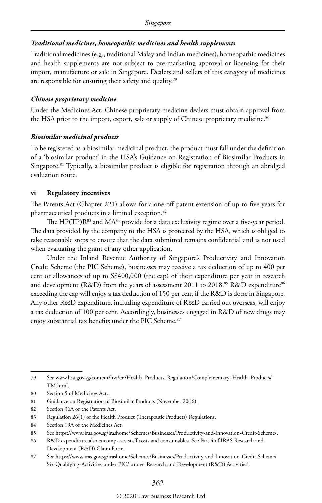#### *Traditional medicines, homeopathic medicines and health supplements*

Traditional medicines (e.g., traditional Malay and Indian medicines), homeopathic medicines and health supplements are not subject to pre-marketing approval or licensing for their import, manufacture or sale in Singapore. Dealers and sellers of this category of medicines are responsible for ensuring their safety and quality.79

#### *Chinese proprietary medicine*

Under the Medicines Act, Chinese proprietary medicine dealers must obtain approval from the HSA prior to the import, export, sale or supply of Chinese proprietary medicine.<sup>80</sup>

#### *Biosimilar medicinal products*

To be registered as a biosimilar medicinal product, the product must fall under the definition of a 'biosimilar product' in the HSA's Guidance on Registration of Biosimilar Products in Singapore.<sup>81</sup> Typically, a biosimilar product is eligible for registration through an abridged evaluation route.

#### **vi Regulatory incentives**

The Patents Act (Chapter 221) allows for a one-off patent extension of up to five years for pharmaceutical products in a limited exception.<sup>82</sup>

The  $HP(TP)R<sup>83</sup>$  and  $MA<sup>84</sup>$  provide for a data exclusivity regime over a five-year period. The data provided by the company to the HSA is protected by the HSA, which is obliged to take reasonable steps to ensure that the data submitted remains confidential and is not used when evaluating the grant of any other application.

Under the Inland Revenue Authority of Singapore's Productivity and Innovation Credit Scheme (the PIC Scheme), businesses may receive a tax deduction of up to 400 per cent or allowances of up to S\$400,000 (the cap) of their expenditure per year in research and development (R&D) from the years of assessment 2011 to 2018.<sup>85</sup> R&D expenditure<sup>86</sup> exceeding the cap will enjoy a tax deduction of 150 per cent if the R&D is done in Singapore. Any other R&D expenditure, including expenditure of R&D carried out overseas, will enjoy a tax deduction of 100 per cent. Accordingly, businesses engaged in R&D of new drugs may enjoy substantial tax benefits under the PIC Scheme.<sup>87</sup>

84 Section 19A of the Medicines Act.

<sup>79</sup> See www.hsa.gov.sg/content/hsa/en/Health\_Products\_Regulation/Complementary\_Health\_Products/ TM.html.

<sup>80</sup> Section 5 of Medicines Act.

<sup>81</sup> Guidance on Registration of Biosimilar Products (November 2016).

<sup>82</sup> Section 36A of the Patents Act.

<sup>83</sup> Regulation 26(1) of the Health Product (Therapeutic Products) Regulations.

<sup>85</sup> See https://www.iras.gov.sg/irashome/Schemes/Businesses/Productivity-and-Innovation-Credit-Scheme/.

<sup>86</sup> R&D expenditure also encompasses staff costs and consumables. See Part 4 of IRAS Research and Development (R&D) Claim Form.

<sup>87</sup> See https://www.iras.gov.sg/irashome/Schemes/Businesses/Productivity-and-Innovation-Credit-Scheme/ Six-Qualifying-Activities-under-PIC/ under 'Research and Development (R&D) Activities'.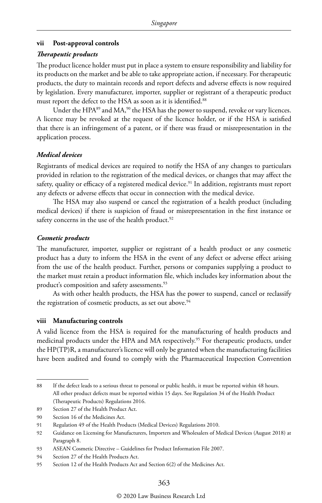#### **vii Post-approval controls**

#### *Therapeutic products*

The product licence holder must put in place a system to ensure responsibility and liability for its products on the market and be able to take appropriate action, if necessary. For therapeutic products, the duty to maintain records and report defects and adverse effects is now required by legislation. Every manufacturer, importer, supplier or registrant of a therapeutic product must report the defect to the HSA as soon as it is identified.<sup>88</sup>

Under the HPA<sup>89</sup> and MA,<sup>90</sup> the HSA has the power to suspend, revoke or vary licences. A licence may be revoked at the request of the licence holder, or if the HSA is satisfied that there is an infringement of a patent, or if there was fraud or misrepresentation in the application process.

#### *Medical devices*

Registrants of medical devices are required to notify the HSA of any changes to particulars provided in relation to the registration of the medical devices, or changes that may affect the safety, quality or efficacy of a registered medical device.<sup>91</sup> In addition, registrants must report any defects or adverse effects that occur in connection with the medical device.

The HSA may also suspend or cancel the registration of a health product (including medical devices) if there is suspicion of fraud or misrepresentation in the first instance or safety concerns in the use of the health product.<sup>92</sup>

#### *Cosmetic products*

The manufacturer, importer, supplier or registrant of a health product or any cosmetic product has a duty to inform the HSA in the event of any defect or adverse effect arising from the use of the health product. Further, persons or companies supplying a product to the market must retain a product information file, which includes key information about the product's composition and safety assessments.<sup>93</sup>

As with other health products, the HSA has the power to suspend, cancel or reclassify the registration of cosmetic products, as set out above.<sup>94</sup>

#### **viii Manufacturing controls**

A valid licence from the HSA is required for the manufacturing of health products and medicinal products under the HPA and MA respectively.<sup>95</sup> For therapeutic products, under the HP(TP)R, a manufacturer's licence will only be granted when the manufacturing facilities have been audited and found to comply with the Pharmaceutical Inspection Convention

<sup>88</sup> If the defect leads to a serious threat to personal or public health, it must be reported within 48 hours. All other product defects must be reported within 15 days. See Regulation 34 of the Health Product (Therapeutic Products) Regulations 2016.

<sup>89</sup> Section 27 of the Health Product Act.

<sup>90</sup> Section 16 of the Medicines Act.

<sup>91</sup> Regulation 49 of the Health Products (Medical Devices) Regulations 2010.

<sup>92</sup> Guidance on Licensing for Manufacturers, Importers and Wholesalers of Medical Devices (August 2018) at Paragraph 8.

<sup>93</sup> ASEAN Cosmetic Directive – Guidelines for Product Information File 2007.

<sup>94</sup> Section 27 of the Health Products Act.

<sup>95</sup> Section 12 of the Health Products Act and Section 6(2) of the Medicines Act.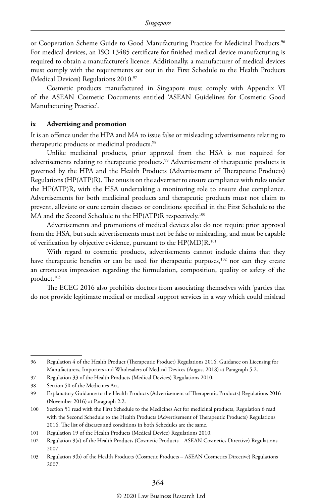or Cooperation Scheme Guide to Good Manufacturing Practice for Medicinal Products.<sup>96</sup> For medical devices, an ISO 13485 certificate for finished medical device manufacturing is required to obtain a manufacturer's licence. Additionally, a manufacturer of medical devices must comply with the requirements set out in the First Schedule to the Health Products (Medical Devices) Regulations 2010.97

Cosmetic products manufactured in Singapore must comply with Appendix VI of the ASEAN Cosmetic Documents entitled 'ASEAN Guidelines for Cosmetic Good Manufacturing Practice'.

#### **ix Advertising and promotion**

It is an offence under the HPA and MA to issue false or misleading advertisements relating to therapeutic products or medicinal products.<sup>98</sup>

Unlike medicinal products, prior approval from the HSA is not required for advertisements relating to therapeutic products.<sup>99</sup> Advertisement of therapeutic products is governed by the HPA and the Health Products (Advertisement of Therapeutic Products) Regulations (HP(ATP)R). The onus is on the advertiser to ensure compliance with rules under the HP(ATP)R, with the HSA undertaking a monitoring role to ensure due compliance. Advertisements for both medicinal products and therapeutic products must not claim to prevent, alleviate or cure certain diseases or conditions specified in the First Schedule to the MA and the Second Schedule to the HP(ATP)R respectively.100

Advertisements and promotions of medical devices also do not require prior approval from the HSA, but such advertisements must not be false or misleading, and must be capable of verification by objective evidence, pursuant to the HP(MD)R.101

With regard to cosmetic products, advertisements cannot include claims that they have therapeutic benefits or can be used for therapeutic purposes,<sup>102</sup> nor can they create an erroneous impression regarding the formulation, composition, quality or safety of the product.<sup>103</sup>

The ECEG 2016 also prohibits doctors from associating themselves with 'parties that do not provide legitimate medical or medical support services in a way which could mislead

<sup>96</sup> Regulation 4 of the Health Product (Therapeutic Product) Regulations 2016. Guidance on Licensing for Manufacturers, Importers and Wholesalers of Medical Devices (August 2018) at Paragraph 5.2.

<sup>97</sup> Regulation 33 of the Health Products (Medical Devices) Regulations 2010.

<sup>98</sup> Section 50 of the Medicines Act.

<sup>99</sup> Explanatory Guidance to the Health Products (Advertisement of Therapeutic Products) Regulations 2016 (November 2016) at Paragraph 2.2.

<sup>100</sup> Section 51 read with the First Schedule to the Medicines Act for medicinal products, Regulation 6 read with the Second Schedule to the Health Products (Advertisement of Therapeutic Products) Regulations 2016. The list of diseases and conditions in both Schedules are the same.

<sup>101</sup> Regulation 19 of the Health Products (Medical Device) Regulations 2010.

<sup>102</sup> Regulation 9(a) of the Health Products (Cosmetic Products – ASEAN Cosmetics Directive) Regulations 2007.

<sup>103</sup> Regulation 9(b) of the Health Products (Cosmetic Products – ASEAN Cosmetics Directive) Regulations 2007.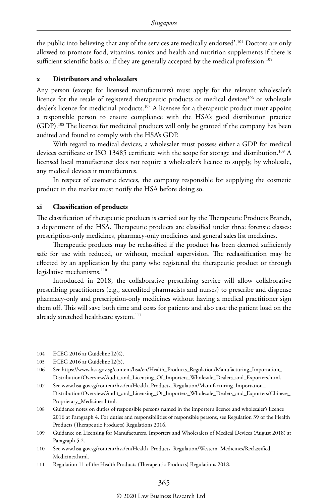the public into believing that any of the services are medically endorsed'.104 Doctors are only allowed to promote food, vitamins, tonics and health and nutrition supplements if there is sufficient scientific basis or if they are generally accepted by the medical profession.<sup>105</sup>

#### **x Distributors and wholesalers**

Any person (except for licensed manufacturers) must apply for the relevant wholesaler's licence for the resale of registered therapeutic products or medical devices<sup>106</sup> or wholesale dealer's licence for medicinal products.<sup>107</sup> A licensee for a therapeutic product must appoint a responsible person to ensure compliance with the HSA's good distribution practice (GDP).108 The licence for medicinal products will only be granted if the company has been audited and found to comply with the HSA's GDP.

With regard to medical devices, a wholesaler must possess either a GDP for medical devices certificate or ISO 13485 certificate with the scope for storage and distribution.<sup>109</sup> A licensed local manufacturer does not require a wholesaler's licence to supply, by wholesale, any medical devices it manufactures.

In respect of cosmetic devices, the company responsible for supplying the cosmetic product in the market must notify the HSA before doing so.

#### **xi Classification of products**

The classification of therapeutic products is carried out by the Therapeutic Products Branch, a department of the HSA. Therapeutic products are classified under three forensic classes: prescription-only medicines, pharmacy-only medicines and general sales list medicines.

Therapeutic products may be reclassified if the product has been deemed sufficiently safe for use with reduced, or without, medical supervision. The reclassification may be effected by an application by the party who registered the therapeutic product or through legislative mechanisms.<sup>110</sup>

Introduced in 2018, the collaborative prescribing service will allow collaborative prescribing practitioners (e.g., accredited pharmacists and nurses) to prescribe and dispense pharmacy-only and prescription-only medicines without having a medical practitioner sign them off. This will save both time and costs for patients and also ease the patient load on the already stretched healthcare system.<sup>111</sup>

106 See https://www.hsa.gov.sg/content/hsa/en/Health\_Products\_Regulation/Manufacturing\_Importation\_ Distribution/Overview/Audit\_and\_Licensing\_Of\_Importers\_Wholesale\_Dealers\_and\_Exporters.html.

<sup>104</sup> ECEG 2016 at Guideline I2(4).

<sup>105</sup> ECEG 2016 at Guideline I2(5).

<sup>107</sup> See www.hsa.gov.sg/content/hsa/en/Health\_Products\_Regulation/Manufacturing\_Importation\_ Distribution/Overview/Audit\_and\_Licensing\_Of\_Importers\_Wholesale\_Dealers\_and\_Exporters/Chinese\_ Proprietary\_Medicines.html.

<sup>108</sup> Guidance notes on duties of responsible persons named in the importer's licence and wholesaler's licence 2016 at Paragraph 4. For duties and responsibilities of responsible persons, see Regulation 39 of the Health Products (Therapeutic Products) Regulations 2016.

<sup>109</sup> Guidance on Licensing for Manufacturers, Importers and Wholesalers of Medical Devices (August 2018) at Paragraph 5.2.

<sup>110</sup> See www.hsa.gov.sg/content/hsa/en/Health\_Products\_Regulation/Western\_Medicines/Reclassified\_ Medicines.html.

<sup>111</sup> Regulation 11 of the Health Products (Therapeutic Products) Regulations 2018.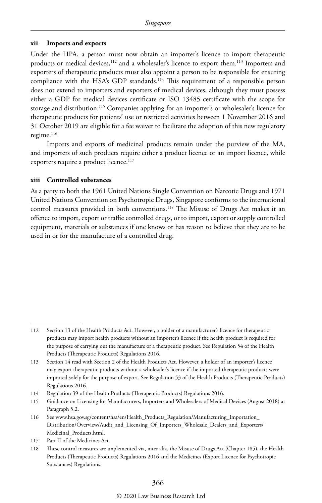#### **xii Imports and exports**

Under the HPA, a person must now obtain an importer's licence to import therapeutic products or medical devices,<sup>112</sup> and a wholesaler's licence to export them.<sup>113</sup> Importers and exporters of therapeutic products must also appoint a person to be responsible for ensuring compliance with the HSA's GDP standards.114 This requirement of a responsible person does not extend to importers and exporters of medical devices, although they must possess either a GDP for medical devices certificate or ISO 13485 certificate with the scope for storage and distribution.<sup>115</sup> Companies applying for an importer's or wholesaler's licence for therapeutic products for patients' use or restricted activities between 1 November 2016 and 31 October 2019 are eligible for a fee waiver to facilitate the adoption of this new regulatory regime.<sup>116</sup>

Imports and exports of medicinal products remain under the purview of the MA, and importers of such products require either a product licence or an import licence, while exporters require a product licence.<sup>117</sup>

#### **xiii Controlled substances**

As a party to both the 1961 United Nations Single Convention on Narcotic Drugs and 1971 United Nations Convention on Psychotropic Drugs, Singapore conforms to the international control measures provided in both conventions.118 The Misuse of Drugs Act makes it an offence to import, export or traffic controlled drugs, or to import, export or supply controlled equipment, materials or substances if one knows or has reason to believe that they are to be used in or for the manufacture of a controlled drug.

<sup>112</sup> Section 13 of the Health Products Act. However, a holder of a manufacturer's licence for therapeutic products may import health products without an importer's licence if the health product is required for the purpose of carrying out the manufacture of a therapeutic product. See Regulation 54 of the Health Products (Therapeutic Products) Regulations 2016.

<sup>113</sup> Section 14 read with Section 2 of the Health Products Act. However, a holder of an importer's licence may export therapeutic products without a wholesaler's licence if the imported therapeutic products were imported solely for the purpose of export. See Regulation 53 of the Health Products (Therapeutic Products) Regulations 2016.

<sup>114</sup> Regulation 39 of the Health Products (Therapeutic Products) Regulations 2016.

<sup>115</sup> Guidance on Licensing for Manufacturers, Importers and Wholesalers of Medical Devices (August 2018) at Paragraph 5.2.

<sup>116</sup> See www.hsa.gov.sg/content/hsa/en/Health\_Products\_Regulation/Manufacturing\_Importation\_ Distribution/Overview/Audit\_and\_Licensing\_Of\_Importers\_Wholesale\_Dealers\_and\_Exporters/ Medicinal\_Products.html.

<sup>117</sup> Part II of the Medicines Act.

<sup>118</sup> These control measures are implemented via, inter alia, the Misuse of Drugs Act (Chapter 185), the Health Products (Therapeutic Products) Regulations 2016 and the Medicines (Export Licence for Psychotropic Substances) Regulations.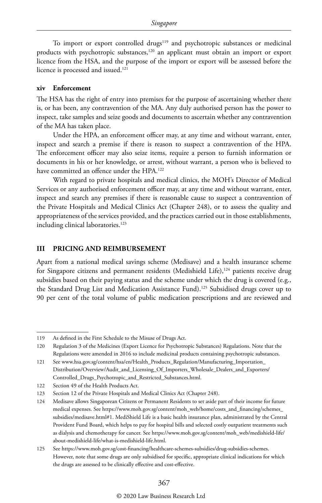To import or export controlled drugs<sup>119</sup> and psychotropic substances or medicinal products with psychotropic substances,<sup>120</sup> an applicant must obtain an import or export licence from the HSA, and the purpose of the import or export will be assessed before the licence is processed and issued.<sup>121</sup>

#### **xiv Enforcement**

The HSA has the right of entry into premises for the purpose of ascertaining whether there is, or has been, any contravention of the MA. Any duly authorised person has the power to inspect, take samples and seize goods and documents to ascertain whether any contravention of the MA has taken place.

Under the HPA, an enforcement officer may, at any time and without warrant, enter, inspect and search a premise if there is reason to suspect a contravention of the HPA. The enforcement officer may also seize items, require a person to furnish information or documents in his or her knowledge, or arrest, without warrant, a person who is believed to have committed an offence under the HPA.<sup>122</sup>

With regard to private hospitals and medical clinics, the MOH's Director of Medical Services or any authorised enforcement officer may, at any time and without warrant, enter, inspect and search any premises if there is reasonable cause to suspect a contravention of the Private Hospitals and Medical Clinics Act (Chapter 248), or to assess the quality and appropriateness of the services provided, and the practices carried out in those establishments, including clinical laboratories.<sup>123</sup>

#### **III PRICING AND REIMBURSEMENT**

Apart from a national medical savings scheme (Medisave) and a health insurance scheme for Singapore citizens and permanent residents (Medishield Life),<sup>124</sup> patients receive drug subsidies based on their paying status and the scheme under which the drug is covered (e.g., the Standard Drug List and Medication Assistance Fund).<sup>125</sup> Subsidised drugs cover up to 90 per cent of the total volume of public medication prescriptions and are reviewed and

120 Regulation 3 of the Medicines (Export Licence for Psychotropic Substances) Regulations. Note that the Regulations were amended in 2016 to include medicinal products containing psychotropic substances.

<sup>119</sup> As defined in the First Schedule to the Misuse of Drugs Act.

<sup>121</sup> See www.hsa.gov.sg/content/hsa/en/Health\_Products\_Regulation/Manufacturing\_Importation\_ Distribution/Overview/Audit\_and\_Licensing\_Of\_Importers\_Wholesale\_Dealers\_and\_Exporters/ Controlled\_Drugs\_Psychotropic\_and\_Restricted\_Substances.html.

<sup>122</sup> Section 49 of the Health Products Act.

<sup>123</sup> Section 12 of the Private Hospitals and Medical Clinics Act (Chapter 248).

<sup>124</sup> Medisave allows Singaporean Citizens or Permanent Residents to set aside part of their income for future medical expenses. See https://www.moh.gov.sg/content/moh\_web/home/costs\_and\_financing/schemes\_ subsidies/medisave.html#1. MediShield Life is a basic health insurance plan, administrated by the Central Provident Fund Board, which helps to pay for hospital bills and selected costly outpatient treatments such as dialysis and chemotherapy for cancer. See https://www.moh.gov.sg/content/moh\_web/medishield-life/ about-medishield-life/what-is-medishield-life.html.

<sup>125</sup> See https://www.moh.gov.sg/cost-financing/healthcare-schemes-subsidies/drug-subsidies-schemes. However, note that some drugs are only subsidised for specific, appropriate clinical indications for which the drugs are assessed to be clinically effective and cost-effective.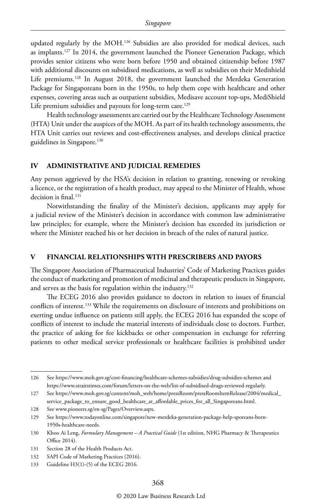updated regularly by the MOH.126 Subsidies are also provided for medical devices, such as implants.127 In 2014, the government launched the Pioneer Generation Package, which provides senior citizens who were born before 1950 and obtained citizenship before 1987 with additional discounts on subsidised medications, as well as subsidies on their Medishield Life premiums.<sup>128</sup> In August 2018, the government launched the Merdeka Generation Package for Singaporeans born in the 1950s, to help them cope with healthcare and other expenses, covering areas such as outpatient subsidies, Medisave account top-ups, MediShield Life premium subsidies and payouts for long-term care.<sup>129</sup>

Health technology assessments are carried out by the Healthcare Technology Assessment (HTA) Unit under the auspices of the MOH. As part of its health technology assessments, the HTA Unit carries out reviews and cost-effectiveness analyses, and develops clinical practice guidelines in Singapore.<sup>130</sup>

#### **IV ADMINISTRATIVE AND JUDICIAL REMEDIES**

Any person aggrieved by the HSA's decision in relation to granting, renewing or revoking a licence, or the registration of a health product, may appeal to the Minister of Health, whose decision is final.<sup>131</sup>

Notwithstanding the finality of the Minister's decision, applicants may apply for a judicial review of the Minister's decision in accordance with common law administrative law principles; for example, where the Minister's decision has exceeded its jurisdiction or where the Minister reached his or her decision in breach of the rules of natural justice.

#### **V FINANCIAL RELATIONSHIPS WITH PRESCRIBERS AND PAYORS**

The Singapore Association of Pharmaceutical Industries' Code of Marketing Practices guides the conduct of marketing and promotion of medicinal and therapeutic products in Singapore, and serves as the basis for regulation within the industry.<sup>132</sup>

The ECEG 2016 also provides guidance to doctors in relation to issues of financial conflicts of interest.133 While the requirements on disclosure of interests and prohibitions on exerting undue influence on patients still apply, the ECEG 2016 has expanded the scope of conflicts of interest to include the material interests of individuals close to doctors. Further, the practice of asking for fee kickbacks or other compensation in exchange for referring patients to other medical service professionals or healthcare facilities is prohibited under

<sup>126</sup> See https://www.moh.gov.sg/cost-financing/healthcare-schemes-subsidies/drug-subsidies-schemes and https://www.straitstimes.com/forum/letters-on-the-web/list-of-subsidised-drugs-reviewed-regularly.

<sup>127</sup> See https://www.moh.gov.sg/content/moh\_web/home/pressRoom/pressRoomItemRelease/2004/medical\_ service\_package\_to\_ensure\_good\_healthcare\_at\_affordable\_prices\_for\_all\_Singaporeans.html.

<sup>128</sup> See www.pioneers.sg/en-sg/Pages/Overview.aspx.

<sup>129</sup> See https://www.todayonline.com/singapore/new-merdeka-generation-package-help-sporeans-born-1950s-healthcare-needs.

<sup>130</sup> Khoo Ai Leng, *Formulary Management – A Practical Guide* (1st edition, NHG Pharmacy & Therapeutics Office 2014).

<sup>131</sup> Section 28 of the Health Products Act.

<sup>132</sup> SAPI Code of Marketing Practices (2016).

<sup>133</sup> Guideline H3(1)-(5) of the ECEG 2016.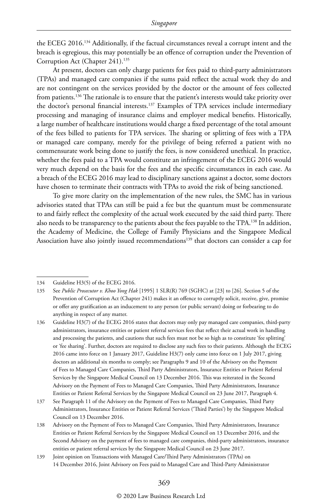the ECEG 2016.134 Additionally, if the factual circumstances reveal a corrupt intent and the breach is egregious, this may potentially be an offence of corruption under the Prevention of Corruption Act (Chapter 241).<sup>135</sup>

At present, doctors can only charge patients for fees paid to third-party administrators (TPAs) and managed care companies if the sums paid reflect the actual work they do and are not contingent on the services provided by the doctor or the amount of fees collected from patients.<sup>136</sup> The rationale is to ensure that the patient's interests would take priority over the doctor's personal financial interests.<sup>137</sup> Examples of TPA services include intermediary processing and managing of insurance claims and employer medical benefits. Historically, a large number of healthcare institutions would charge a fixed percentage of the total amount of the fees billed to patients for TPA services. The sharing or splitting of fees with a TPA or managed care company, merely for the privilege of being referred a patient with no commensurate work being done to justify the fees, is now considered unethical. In practice, whether the fees paid to a TPA would constitute an infringement of the ECEG 2016 would very much depend on the basis for the fees and the specific circumstances in each case. As a breach of the ECEG 2016 may lead to disciplinary sanctions against a doctor, some doctors have chosen to terminate their contracts with TPAs to avoid the risk of being sanctioned.

To give more clarity on the implementation of the new rules, the SMC has in various advisories stated that TPAs can still be paid a fee but the quantum must be commensurate to and fairly reflect the complexity of the actual work executed by the said third party. There also needs to be transparency to the patients about the fees payable to the TPA.<sup>138</sup> In addition, the Academy of Medicine, the College of Family Physicians and the Singapore Medical Association have also jointly issued recommendations<sup>139</sup> that doctors can consider a cap for

<sup>134</sup> Guideline H3(5) of the ECEG 2016.

<sup>135</sup> See *Public Prosecutor v. Khoo Yong Hak* [1995] 1 SLR(R) 769 (SGHC) at [23] to [26]. Section 5 of the Prevention of Corruption Act (Chapter 241) makes it an offence to corruptly solicit, receive, give, promise or offer any gratification as an inducement to any person (or public servant) doing or forbearing to do anything in respect of any matter.

<sup>136</sup> Guideline H3(7) of the ECEG 2016 states that doctors may only pay managed care companies, third-party administrators, insurance entities or patient referral services fees that reflect their actual work in handling and processing the patients, and cautions that such fees must not be so high as to constitute 'fee splitting' or 'fee sharing'. Further, doctors are required to disclose any such fees to their patients. Although the ECEG 2016 came into force on 1 January 2017, Guideline H3(7) only came into force on 1 July 2017, giving doctors an additional six months to comply; see Paragraphs 9 and 10 of the Advisory on the Payment of Fees to Managed Care Companies, Third Party Administrators, Insurance Entities or Patient Referral Services by the Singapore Medical Council on 13 December 2016. This was reiterated in the Second Advisory on the Payment of Fees to Managed Care Companies, Third Party Administrators, Insurance Entities or Patient Referral Services by the Singapore Medical Council on 23 June 2017, Paragraph 4.

<sup>137</sup> See Paragraph 11 of the Advisory on the Payment of Fees to Managed Care Companies, Third Party Administrators, Insurance Entities or Patient Referral Services ('Third Parties') by the Singapore Medical Council on 13 December 2016.

<sup>138</sup> Advisory on the Payment of Fees to Managed Care Companies, Third Party Administrators, Insurance Entities or Patient Referral Services by the Singapore Medical Council on 13 December 2016, and the Second Advisory on the payment of fees to managed care companies, third-party administrators, insurance entities or patient referral services by the Singapore Medical Council on 23 June 2017.

<sup>139</sup> Joint opinion on Transactions with Managed Care/Third Party Administrators (TPAs) on 14 December 2016, Joint Advisory on Fees paid to Managed Care and Third-Party Administrator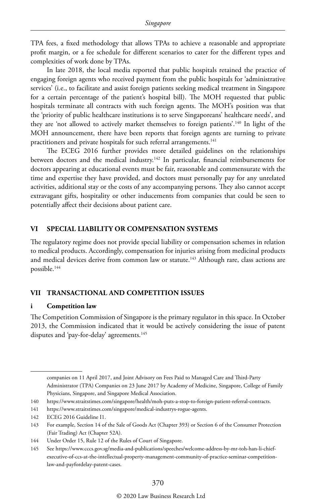TPA fees, a fixed methodology that allows TPAs to achieve a reasonable and appropriate profit margin, or a fee schedule for different scenarios to cater for the different types and complexities of work done by TPAs.

In late 2018, the local media reported that public hospitals retained the practice of engaging foreign agents who received payment from the public hospitals for 'administrative services' (i.e., to facilitate and assist foreign patients seeking medical treatment in Singapore for a certain percentage of the patient's hospital bill). The MOH requested that public hospitals terminate all contracts with such foreign agents. The MOH's position was that the 'priority of public healthcare institutions is to serve Singaporeans' healthcare needs', and they are 'not allowed to actively market themselves to foreign patients'.140 In light of the MOH announcement, there have been reports that foreign agents are turning to private practitioners and private hospitals for such referral arrangements.<sup>141</sup>

The ECEG 2016 further provides more detailed guidelines on the relationships between doctors and the medical industry.<sup>142</sup> In particular, financial reimbursements for doctors appearing at educational events must be fair, reasonable and commensurate with the time and expertise they have provided, and doctors must personally pay for any unrelated activities, additional stay or the costs of any accompanying persons. They also cannot accept extravagant gifts, hospitality or other inducements from companies that could be seen to potentially affect their decisions about patient care.

#### **VI SPECIAL LIABILITY OR COMPENSATION SYSTEMS**

The regulatory regime does not provide special liability or compensation schemes in relation to medical products. Accordingly, compensation for injuries arising from medicinal products and medical devices derive from common law or statute.<sup>143</sup> Although rare, class actions are possible.144

#### **VII TRANSACTIONAL AND COMPETITION ISSUES**

#### **i Competition law**

The Competition Commission of Singapore is the primary regulator in this space. In October 2013, the Commission indicated that it would be actively considering the issue of patent disputes and 'pay-for-delay' agreements.<sup>145</sup>

companies on 11 April 2017, and Joint Advisory on Fees Paid to Managed Care and Third-Party Administrator (TPA) Companies on 23 June 2017 by Academy of Medicine, Singapore, College of Family Physicians, Singapore, and Singapore Medical Association.

<sup>140</sup> https://www.straitstimes.com/singapore/health/moh-puts-a-stop-to-foreign-patient-referral-contracts.

<sup>141</sup> https://www.straitstimes.com/singapore/medical-industrys-rogue-agents.

<sup>142</sup> ECEG 2016 Guideline I1.

<sup>143</sup> For example, Section 14 of the Sale of Goods Act (Chapter 393) or Section 6 of the Consumer Protection (Fair Trading) Act (Chapter 52A).

<sup>144</sup> Under Order 15, Rule 12 of the Rules of Court of Singapore.

<sup>145</sup> See https://www.cccs.gov.sg/media-and-publications/speeches/welcome-address-by-mr-toh-han-li-chiefexecutive-of-ccs-at-the-intellectual-property-management-community-of-practice-seminar-competitionlaw-and-payfordelay-patent-cases.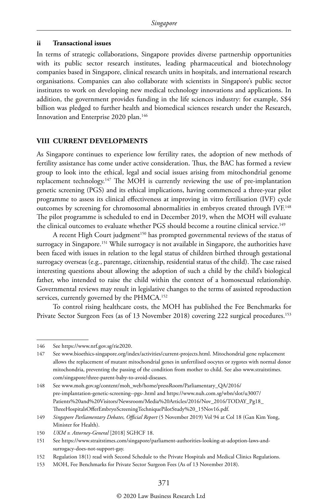#### **ii Transactional issues**

In terms of strategic collaborations, Singapore provides diverse partnership opportunities with its public sector research institutes, leading pharmaceutical and biotechnology companies based in Singapore, clinical research units in hospitals, and international research organisations. Companies can also collaborate with scientists in Singapore's public sector institutes to work on developing new medical technology innovations and applications. In addition, the government provides funding in the life sciences industry: for example, S\$4 billion was pledged to further health and biomedical sciences research under the Research, Innovation and Enterprise 2020 plan.<sup>146</sup>

#### **VIII CURRENT DEVELOPMENTS**

As Singapore continues to experience low fertility rates, the adoption of new methods of fertility assistance has come under active consideration. Thus, the BAC has formed a review group to look into the ethical, legal and social issues arising from mitochondrial genome replacement technology.147 The MOH is currently reviewing the use of pre-implantation genetic screening (PGS) and its ethical implications, having commenced a three-year pilot programme to assess its clinical effectiveness at improving in vitro fertilisation (IVF) cycle outcomes by screening for chromosomal abnormalities in embryos created through IVF.148 The pilot programme is scheduled to end in December 2019, when the MOH will evaluate the clinical outcomes to evaluate whether PGS should become a routine clinical service.<sup>149</sup>

A recent High Court judgment<sup>150</sup> has prompted governmental reviews of the status of surrogacy in Singapore.<sup>151</sup> While surrogacy is not available in Singapore, the authorities have been faced with issues in relation to the legal status of children birthed through gestational surrogacy overseas (e.g., parentage, citizenship, residential status of the child). The case raised interesting questions about allowing the adoption of such a child by the child's biological father, who intended to raise the child within the context of a homosexual relationship. Governmental reviews may result in legislative changes to the terms of assisted reproduction services, currently governed by the PHMCA.<sup>152</sup>

To control rising healthcare costs, the MOH has published the Fee Benchmarks for Private Sector Surgeon Fees (as of 13 November 2018) covering 222 surgical procedures.<sup>153</sup>

<sup>146</sup> See https://www.nrf.gov.sg/rie2020.

<sup>147</sup> See www.bioethics-singapore.org/index/activities/current-projects.html. Mitochondrial gene replacement allows the replacement of mutant mitochondrial genes in unfertilised oocytes or zygotes with normal donor mitochondria, preventing the passing of the condition from mother to child. See also www.straitstimes. com/singapore/three-parent-baby-to-avoid-diseases.

<sup>148</sup> See www.moh.gov.sg/content/moh\_web/home/pressRoom/Parliamentary\_QA/2016/ pre-implantation-genetic-screening--pgs-.html and https://www.nuh.com.sg/wbn/slot/u3007/ Patients%20and%20Visitors/Newsroom/Media%20Articles/2016/Nov\_2016/TODAY\_Pg18\_ ThreeHospitalsOfferEmbryoScreeningTechniquePilotStudy%20\_15Nov16.pdf.

<sup>149</sup> *Singapore Parliamentary Debates, Official Report* (5 November 2019) Vol 94 at Col 18 (Gan Kim Yong, Minister for Health).

<sup>150</sup> *UKM v. Attorney-General* [2018] SGHCF 18.

<sup>151</sup> See https://www.straitstimes.com/singapore/parliament-authorities-looking-at-adoption-laws-andsurrogacy-does-not-support-gay.

<sup>152</sup> Regulation 18(1) read with Second Schedule to the Private Hospitals and Medical Clinics Regulations.

<sup>153</sup> MOH, Fee Benchmarks for Private Sector Surgeon Fees (As of 13 November 2018).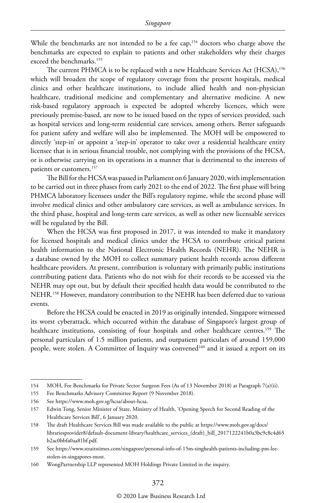While the benchmarks are not intended to be a fee cap,<sup>154</sup> doctors who charge above the benchmarks are expected to explain to patients and other stakeholders why their charges exceed the benchmarks.155

The current PHMCA is to be replaced with a new Healthcare Services Act (HCSA),<sup>156</sup> which will broaden the scope of regulatory coverage from the present hospitals, medical clinics and other healthcare institutions, to include allied health and non-physician healthcare, traditional medicine and complementary and alternative medicine. A new risk-based regulatory approach is expected be adopted whereby licences, which were previously premise-based, are now to be issued based on the types of services provided, such as hospital services and long-term residential care services, among others. Better safeguards for patient safety and welfare will also be implemented. The MOH will be empowered to directly 'step-in' or appoint a 'step-in' operator to take over a residential healthcare entity licensee that is in serious financial trouble, not complying with the provisions of the HCSA, or is otherwise carrying on its operations in a manner that is detrimental to the interests of patients or customers.<sup>157</sup>

The Bill for the HCSA was passed in Parliament on 6 January 2020, with implementation to be carried out in three phases from early 2021 to the end of 2022. The first phase will bring PHMCA laboratory licensees under the Bill's regulatory regime, while the second phase will involve medical clinics and other ambulatory care services, as well as ambulance services. In the third phase, hospital and long-term care services, as well as other new licensable services will be regulated by the Bill.

When the HCSA was first proposed in 2017, it was intended to make it mandatory for licensed hospitals and medical clinics under the HCSA to contribute critical patient health information to the National Electronic Health Records (NEHR). The NEHR is a database owned by the MOH to collect summary patient health records across different healthcare providers. At present, contribution is voluntary with primarily public institutions contributing patient data. Patients who do not wish for their records to be accessed via the NEHR may opt out, but by default their specified health data would be contributed to the NEHR.158 However, mandatory contribution to the NEHR has been deferred due to various events.

Before the HCSA could be enacted in 2019 as originally intended, Singapore witnessed its worst cyberattack, which occurred within the database of Singapore's largest group of healthcare institutions, consisting of four hospitals and other healthcare centres.<sup>159</sup> The personal particulars of 1.5 million patients, and outpatient particulars of around 159,000 people, were stolen. A Committee of Inquiry was convened<sup>160</sup> and it issued a report on its

<sup>154</sup> MOH, Fee Benchmarks for Private Sector Surgeon Fees (As of 13 November 2018) at Paragraph 7(a)(ii).

<sup>155</sup> Fee Benchmarks Advisory Committee Report (9 November 2018).

<sup>156</sup> See https://www.moh.gov.sg/hcsa/about-hcsa.

<sup>157</sup> Edwin Tong, Senior Minister of State, Ministry of Health, 'Opening Speech for Second Reading of the Healthcare Services Bill', 6 January 2020.

<sup>158</sup> The draft Healthcare Services Bill was made available to the public at https://www.moh.gov.sg/docs/ librariesprovider8/default-document-library/healthcare\_services\_(draft)\_bill\_2017122241b0a3bc9c8c4d65 b2ac0bbfa0aa81bf.pdf.

<sup>159</sup> See https://www.straitstimes.com/singapore/personal-info-of-15m-singhealth-patients-including-pm-leestolen-in-singapores-most.

<sup>160</sup> WongPartnership LLP represented MOH Holdings Private Limited in the inquiry.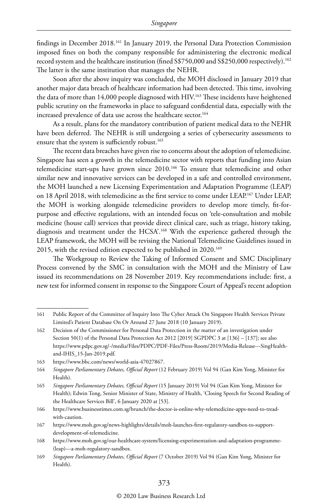findings in December 2018.161 In January 2019, the Personal Data Protection Commission imposed fines on both the company responsible for administering the electronic medical record system and the healthcare institution (fined S\$750,000 and S\$250,000 respectively).162 The latter is the same institution that manages the NEHR.

Soon after the above inquiry was concluded, the MOH disclosed in January 2019 that another major data breach of healthcare information had been detected. This time, involving the data of more than 14,000 people diagnosed with HIV.163 These incidents have heightened public scrutiny on the frameworks in place to safeguard confidential data, especially with the increased prevalence of data use across the healthcare sector.<sup>164</sup>

As a result, plans for the mandatory contribution of patient medical data to the NEHR have been deferred. The NEHR is still undergoing a series of cybersecurity assessments to ensure that the system is sufficiently robust.<sup>165</sup>

The recent data breaches have given rise to concerns about the adoption of telemedicine. Singapore has seen a growth in the telemedicine sector with reports that funding into Asian telemedicine start-ups have grown since 2010.166 To ensure that telemedicine and other similar new and innovative services can be developed in a safe and controlled environment, the MOH launched a new Licensing Experimentation and Adaptation Programme (LEAP) on 18 April 2018, with telemedicine as the first service to come under LEAP.<sup>167</sup> Under LEAP, the MOH is working alongside telemedicine providers to develop more timely, fit-forpurpose and effective regulations, with an intended focus on 'tele-consultation and mobile medicine (house call) services that provide direct clinical care, such as triage, history taking, diagnosis and treatment under the HCSA'.168 With the experience gathered through the LEAP framework, the MOH will be revising the National Telemedicine Guidelines issued in 2015, with the revised edition expected to be published in 2020.<sup>169</sup>

The Workgroup to Review the Taking of Informed Consent and SMC Disciplinary Process convened by the SMC in consultation with the MOH and the Ministry of Law issued its recommendations on 28 November 2019. Key recommendations include: first, a new test for informed consent in response to the Singapore Court of Appeal's recent adoption

<sup>161</sup> Public Report of the Committee of Inquiry Into The Cyber Attack On Singapore Health Services Private Limited's Patient Database On Or Around 27 June 2018 (10 January 2019).

<sup>162</sup> Decision of the Commissioner for Personal Data Protection in the matter of an investigation under Section 50(1) of the Personal Data Protection Act 2012 [2019] SGPDPC 3 at [136] – [137]; see also https://www.pdpc.gov.sg/-/media/Files/PDPC/PDF-Files/Press-Room/2019/Media-Release---SingHealthand-IHIS\_15-Jan-2019.pdf.

<sup>163</sup> https://www.bbc.com/news/world-asia-47027867.

<sup>164</sup> *Singapore Parliamentary Debates, Official Report* (12 February 2019) Vol 94 (Gan Kim Yong, Minister for Health).

<sup>165</sup> *Singapore Parliamentary Debates, Official Report* (15 January 2019) Vol 94 (Gan Kim Yong, Minister for Health); Edwin Tong, Senior Minister of State, Ministry of Health, 'Closing Speech for Second Reading of the Healthcare Services Bill', 6 January 2020 at [53].

<sup>166</sup> https://www.businesstimes.com.sg/brunch/the-doctor-is-online-why-telemedicine-apps-need-to-treadwith-caution.

<sup>167</sup> https://www.moh.gov.sg/news-highlights/details/moh-launches-first-regulatory-sandbox-to-supportdevelopment-of-telemedicine.

<sup>168</sup> https://www.moh.gov.sg/our-healthcare-system/licensing-experimentation-and-adaptation-programme- (leap)---a-moh-regulatory-sandbox.

<sup>169</sup> *Singapore Parliamentary Debates, Official Report* (7 October 2019) Vol 94 (Gan Kim Yong, Minister for Health).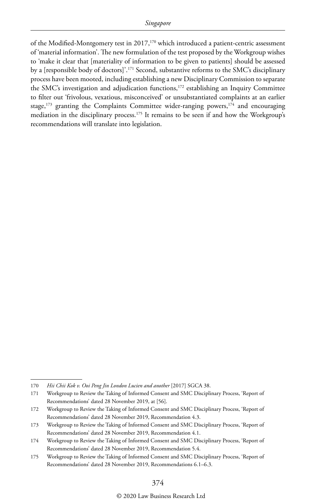of the Modified-Montgomery test in 2017,<sup>170</sup> which introduced a patient-centric assessment of 'material information'. The new formulation of the test proposed by the Workgroup wishes to 'make it clear that [materiality of information to be given to patients] should be assessed by a [responsible body of doctors]'.171 Second, substantive reforms to the SMC's disciplinary process have been mooted, including establishing a new Disciplinary Commission to separate the SMC's investigation and adjudication functions,<sup>172</sup> establishing an Inquiry Committee to filter out 'frivolous, vexatious, misconceived' or unsubstantiated complaints at an earlier stage, $173$  granting the Complaints Committee wider-ranging powers, $174$  and encouraging mediation in the disciplinary process.<sup>175</sup> It remains to be seen if and how the Workgroup's recommendations will translate into legislation.

<sup>170</sup> *Hii Chii Kok v. Ooi Peng Jin London Lucien and another* [2017] SGCA 38.

<sup>171</sup> Workgroup to Review the Taking of Informed Consent and SMC Disciplinary Process, 'Report of Recommendations' dated 28 November 2019, at [56].

<sup>172</sup> Workgroup to Review the Taking of Informed Consent and SMC Disciplinary Process, 'Report of Recommendations' dated 28 November 2019, Recommendation 4.3.

<sup>173</sup> Workgroup to Review the Taking of Informed Consent and SMC Disciplinary Process, 'Report of Recommendations' dated 28 November 2019, Recommendation 4.1.

<sup>174</sup> Workgroup to Review the Taking of Informed Consent and SMC Disciplinary Process, 'Report of Recommendations' dated 28 November 2019, Recommendation 5.4.

<sup>175</sup> Workgroup to Review the Taking of Informed Consent and SMC Disciplinary Process, 'Report of Recommendations' dated 28 November 2019, Recommendations 6.1–6.3.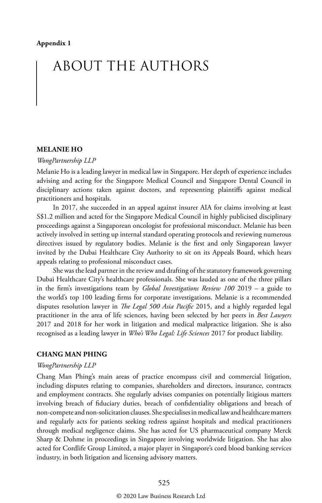# ABOUT THE AUTHORS

#### **MELANIE HO**

#### *WongPartnership LLP*

Melanie Ho is a leading lawyer in medical law in Singapore. Her depth of experience includes advising and acting for the Singapore Medical Council and Singapore Dental Council in disciplinary actions taken against doctors, and representing plaintiffs against medical practitioners and hospitals.

In 2017, she succeeded in an appeal against insurer AIA for claims involving at least S\$1.2 million and acted for the Singapore Medical Council in highly publicised disciplinary proceedings against a Singaporean oncologist for professional misconduct. Melanie has been actively involved in setting up internal standard operating protocols and reviewing numerous directives issued by regulatory bodies. Melanie is the first and only Singaporean lawyer invited by the Dubai Healthcare City Authority to sit on its Appeals Board, which hears appeals relating to professional misconduct cases.

She was the lead partner in the review and drafting of the statutory framework governing Dubai Healthcare City's healthcare professionals. She was lauded as one of the three pillars in the firm's investigations team by *Global Investigations Review 100* 2019 – a guide to the world's top 100 leading firms for corporate investigations. Melanie is a recommended disputes resolution lawyer in *The Legal 500 Asia Pacific* 2015, and a highly regarded legal practitioner in the area of life sciences, having been selected by her peers in *Best Lawyers* 2017 and 2018 for her work in litigation and medical malpractice litigation. She is also recognised as a leading lawyer in *Who's Who Legal: Life Sciences* 2017 for product liability.

#### **CHANG MAN PHING**

#### *WongPartnership LLP*

Chang Man Phing's main areas of practice encompass civil and commercial litigation, including disputes relating to companies, shareholders and directors, insurance, contracts and employment contracts. She regularly advises companies on potentially litigious matters involving breach of fiduciary duties, breach of confidentiality obligations and breach of non-compete and non-solicitation clauses. She specialises in medical law and healthcare matters and regularly acts for patients seeking redress against hospitals and medical practitioners through medical negligence claims. She has acted for US pharmaceutical company Merck Sharp & Dohme in proceedings in Singapore involving worldwide litigation. She has also acted for Cordlife Group Limited, a major player in Singapore's cord blood banking services industry, in both litigation and licensing advisory matters.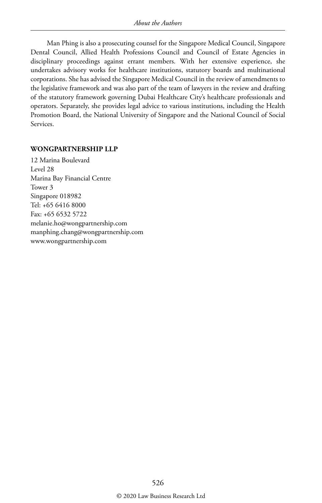Man Phing is also a prosecuting counsel for the Singapore Medical Council, Singapore Dental Council, Allied Health Professions Council and Council of Estate Agencies in disciplinary proceedings against errant members. With her extensive experience, she undertakes advisory works for healthcare institutions, statutory boards and multinational corporations. She has advised the Singapore Medical Council in the review of amendments to the legislative framework and was also part of the team of lawyers in the review and drafting of the statutory framework governing Dubai Healthcare City's healthcare professionals and operators. Separately, she provides legal advice to various institutions, including the Health Promotion Board, the National University of Singapore and the National Council of Social Services.

#### **WONGPARTNERSHIP LLP**

12 Marina Boulevard Level 28 Marina Bay Financial Centre Tower 3 Singapore 018982 Tel: +65 6416 8000 Fax: +65 6532 5722 melanie.ho@wongpartnership.com manphing.chang@wongpartnership.com www.wongpartnership.com